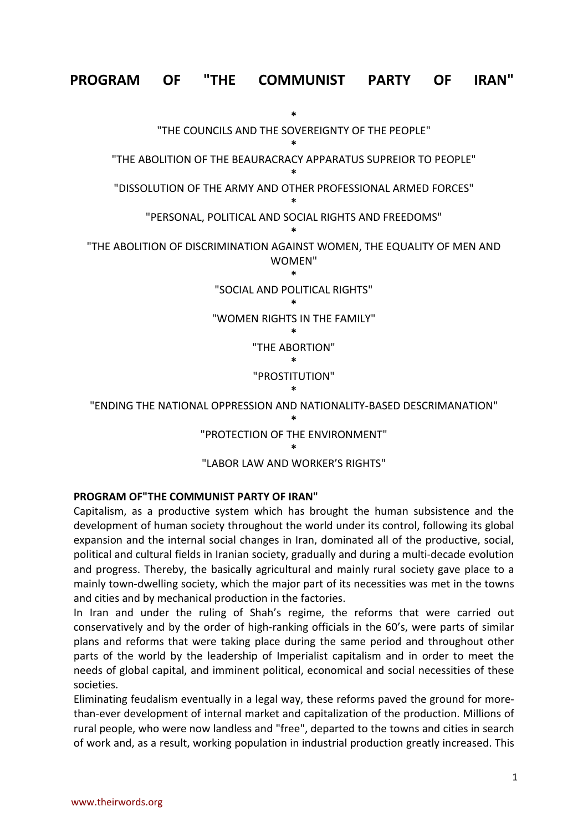# **PROGRAM OF "THE COMMUNIST PARTY OF IRAN"**



**PROGRAM OF"THE COMMUNIST PARTY OF IRAN"**

Capitalism, as a productive system which has brought the human subsistence and the development of human society throughout the world under its control, following its global expansion and the internal social changes in Iran, dominated all of the productive, social, political and cultural fields in Iranian society, gradually and during a multi-decade evolution and progress. Thereby, the basically agricultural and mainly rural society gave place to a mainly town-dwelling society, which the major part of its necessities was met in the towns and cities and by mechanical production in the factories.

In Iran and under the ruling of Shah's regime, the reforms that were carried out conservatively and by the order of high-ranking officials in the 60's, were parts of similar plans and reforms that were taking place during the same period and throughout other parts of the world by the leadership of Imperialist capitalism and in order to meet the needs of global capital, and imminent political, economical and social necessities of these societies.

Eliminating feudalism eventually in a legal way, these reforms paved the ground for morethan-ever development of internal market and capitalization of the production. Millions of rural people, who were now landless and "free", departed to the towns and cities in search of work and, as a result, working population in industrial production greatly increased. This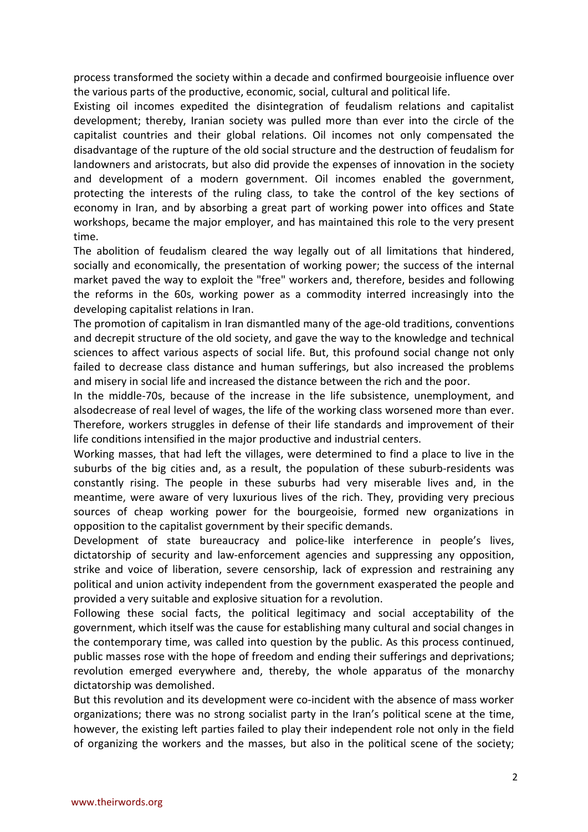process transformed the society within a decade and confirmed bourgeoisie influence over the various parts of the productive, economic, social, cultural and political life.

Existing oil incomes expedited the disintegration of feudalism relations and capitalist development; thereby, Iranian society was pulled more than ever into the circle of the capitalist countries and their global relations. Oil incomes not only compensated the disadvantage of the rupture of the old social structure and the destruction of feudalism for landowners and aristocrats, but also did provide the expenses of innovation in the society and development of a modern government. Oil incomes enabled the government, protecting the interests of the ruling class, to take the control of the key sections of economy in Iran, and by absorbing a great part of working power into offices and State workshops, became the major employer, and has maintained this role to the very present time.

The abolition of feudalism cleared the way legally out of all limitations that hindered, socially and economically, the presentation of working power; the success of the internal market paved the way to exploit the "free" workers and, therefore, besides and following the reforms in the 60s, working power as a commodity interred increasingly into the developing capitalist relations in Iran.

The promotion of capitalism in Iran dismantled many of the age-old traditions, conventions and decrepit structure of the old society, and gave the way to the knowledge and technical sciences to affect various aspects of social life. But, this profound social change not only failed to decrease class distance and human sufferings, but also increased the problems and misery in social life and increased the distance between the rich and the poor.

In the middle-70s, because of the increase in the life subsistence, unemployment, and alsodecrease of real level of wages, the life of the working class worsened more than ever. Therefore, workers struggles in defense of their life standards and improvement of their life conditions intensified in the major productive and industrial centers.

Working masses, that had left the villages, were determined to find a place to live in the suburbs of the big cities and, as a result, the population of these suburb-residents was constantly rising. The people in these suburbs had very miserable lives and, in the meantime, were aware of very luxurious lives of the rich. They, providing very precious sources of cheap working power for the bourgeoisie, formed new organizations in opposition to the capitalist government by their specific demands.

Development of state bureaucracy and police-like interference in people's lives, dictatorship of security and law-enforcement agencies and suppressing any opposition, strike and voice of liberation, severe censorship, lack of expression and restraining any political and union activity independent from the government exasperated the people and provided a very suitable and explosive situation for a revolution.

Following these social facts, the political legitimacy and social acceptability of the government, which itself was the cause for establishing many cultural and social changes in the contemporary time, was called into question by the public. As this process continued, public masses rose with the hope of freedom and ending their sufferings and deprivations; revolution emerged everywhere and, thereby, the whole apparatus of the monarchy dictatorship was demolished.

But this revolution and its development were co-incident with the absence of mass worker organizations; there was no strong socialist party in the Iran's political scene at the time, however, the existing left parties failed to play their independent role not only in the field of organizing the workers and the masses, but also in the political scene of the society;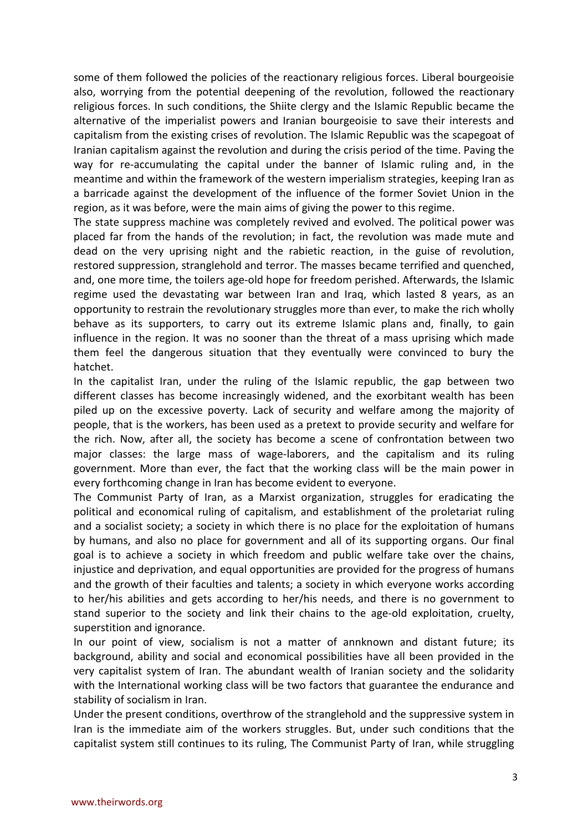some of them followed the policies of the reactionary religious forces. Liberal bourgeoisie also, worrying from the potential deepening of the revolution, followed the reactionary religious forces. In such conditions, the Shiite clergy and the Islamic Republic became the alternative of the imperialist powers and Iranian bourgeoisie to save their interests and capitalism from the existing crises of revolution. The Islamic Republic was the scapegoat of Iranian capitalism against the revolution and during the crisis period of the time. Paving the way for re-accumulating the capital under the banner of Islamic ruling and, in the meantime and within the framework of the western imperialism strategies, keeping Iran as a barricade against the development of the influence of the former Soviet Union in the region, as it was before, were the main aims of giving the power to this regime.

The state suppress machine was completely revived and evolved. The political power was placed far from the hands of the revolution; in fact, the revolution was made mute and dead on the very uprising night and the rabietic reaction, in the guise of revolution, restored suppression, stranglehold and terror. The masses became terrified and quenched, and, one more time, the toilers age-old hope for freedom perished. Afterwards, the Islamic regime used the devastating war between Iran and Iraq, which lasted 8 years, as an opportunity to restrain the revolutionary struggles more than ever, to make the rich wholly behave as its supporters, to carry out its extreme Islamic plans and, finally, to gain influence in the region. It was no sooner than the threat of a mass uprising which made them feel the dangerous situation that they eventually were convinced to bury the hatchet.

In the capitalist Iran, under the ruling of the Islamic republic, the gap between two different classes has become increasingly widened, and the exorbitant wealth has been piled up on the excessive poverty. Lack of security and welfare among the majority of people, that is the workers, has been used as a pretext to provide security and welfare for the rich. Now, after all, the society has become a scene of confrontation between two major classes: the large mass of wage-laborers, and the capitalism and its ruling government. More than ever, the fact that the working class will be the main power in every forthcoming change in Iran has become evident to everyone.

The Communist Party of Iran, as a Marxist organization, struggles for eradicating the political and economical ruling of capitalism, and establishment of the proletariat ruling and a socialist society; a society in which there is no place for the exploitation of humans by humans, and also no place for government and all of its supporting organs. Our final goal is to achieve a society in which freedom and public welfare take over the chains, injustice and deprivation, and equal opportunities are provided for the progress of humans and the growth of their faculties and talents; a society in which everyone works according to her/his abilities and gets according to her/his needs, and there is no government to stand superior to the society and link their chains to the age-old exploitation, cruelty, superstition and ignorance.

In our point of view, socialism is not a matter of annknown and distant future; its background, ability and social and economical possibilities have all been provided in the very capitalist system of Iran. The abundant wealth of Iranian society and the solidarity with the International working class will be two factors that guarantee the endurance and stability of socialism in Iran.

Under the present conditions, overthrow of the stranglehold and the suppressive system in Iran is the immediate aim of the workers struggles. But, under such conditions that the capitalist system still continues to its ruling, The Communist Party of Iran, while struggling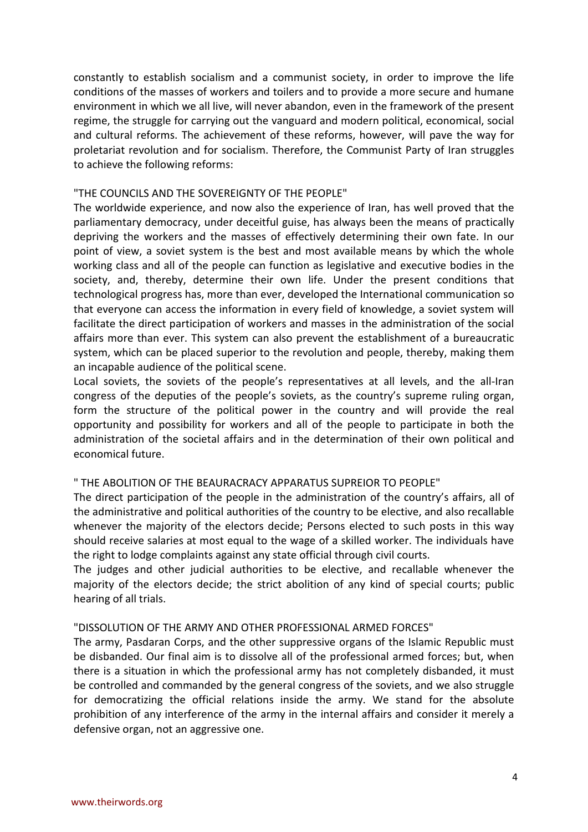constantly to establish socialism and a communist society, in order to improve the life conditions of the masses of workers and toilers and to provide a more secure and humane environment in which we all live, will never abandon, even in the framework of the present regime, the struggle for carrying out the vanguard and modern political, economical, social and cultural reforms. The achievement of these reforms, however, will pave the way for proletariat revolution and for socialism. Therefore, the Communist Party of Iran struggles to achieve the following reforms:

#### "THE COUNCILS AND THE SOVEREIGNTY OF THE PEOPLE"

The worldwide experience, and now also the experience of Iran, has well proved that the parliamentary democracy, under deceitful guise, has always been the means of practically depriving the workers and the masses of effectively determining their own fate. In our point of view, a soviet system is the best and most available means by which the whole working class and all of the people can function as legislative and executive bodies in the society, and, thereby, determine their own life. Under the present conditions that technological progress has, more than ever, developed the International communication so that everyone can access the information in every field of knowledge, a soviet system will facilitate the direct participation of workers and masses in the administration of the social affairs more than ever. This system can also prevent the establishment of a bureaucratic system, which can be placed superior to the revolution and people, thereby, making them an incapable audience of the political scene.

Local soviets, the soviets of the people's representatives at all levels, and the all-Iran congress of the deputies of the people's soviets, as the country's supreme ruling organ, form the structure of the political power in the country and will provide the real opportunity and possibility for workers and all of the people to participate in both the administration of the societal affairs and in the determination of their own political and economical future.

#### " THE ABOLITION OF THE BEAURACRACY APPARATUS SUPREIOR TO PEOPLE"

The direct participation of the people in the administration of the country's affairs, all of the administrative and political authorities of the country to be elective, and also recallable whenever the majority of the electors decide; Persons elected to such posts in this way should receive salaries at most equal to the wage of a skilled worker. The individuals have the right to lodge complaints against any state official through civil courts.

The judges and other judicial authorities to be elective, and recallable whenever the majority of the electors decide; the strict abolition of any kind of special courts; public hearing of all trials.

#### "DISSOLUTION OF THE ARMY AND OTHER PROFESSIONAL ARMED FORCES"

The army, Pasdaran Corps, and the other suppressive organs of the Islamic Republic must be disbanded. Our final aim is to dissolve all of the professional armed forces; but, when there is a situation in which the professional army has not completely disbanded, it must be controlled and commanded by the general congress of the soviets, and we also struggle for democratizing the official relations inside the army. We stand for the absolute prohibition of any interference of the army in the internal affairs and consider it merely a defensive organ, not an aggressive one.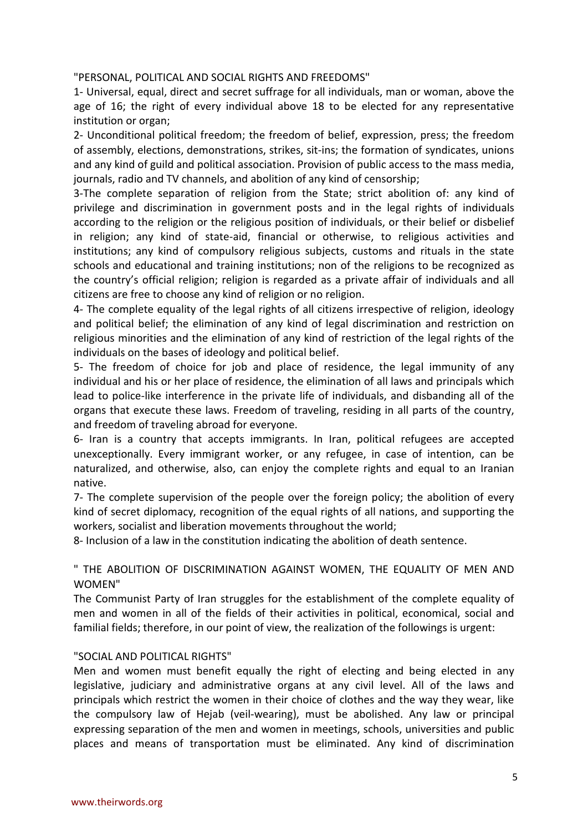"PERSONAL, POLITICAL AND SOCIAL RIGHTS AND FREEDOMS"

1- Universal, equal, direct and secret suffrage for all individuals, man or woman, above the age of 16; the right of every individual above 18 to be elected for any representative institution or organ;

2- Unconditional political freedom; the freedom of belief, expression, press; the freedom of assembly, elections, demonstrations, strikes, sit-ins; the formation of syndicates, unions and any kind of guild and political association. Provision of public access to the mass media, journals, radio and TV channels, and abolition of any kind of censorship;

3-The complete separation of religion from the State; strict abolition of: any kind of privilege and discrimination in government posts and in the legal rights of individuals according to the religion or the religious position of individuals, or their belief or disbelief in religion; any kind of state-aid, financial or otherwise, to religious activities and institutions; any kind of compulsory religious subjects, customs and rituals in the state schools and educational and training institutions; non of the religions to be recognized as the country's official religion; religion is regarded as a private affair of individuals and all citizens are free to choose any kind of religion or no religion.

4- The complete equality of the legal rights of all citizens irrespective of religion, ideology and political belief; the elimination of any kind of legal discrimination and restriction on religious minorities and the elimination of any kind of restriction of the legal rights of the individuals on the bases of ideology and political belief.

5- The freedom of choice for job and place of residence, the legal immunity of any individual and his or her place of residence, the elimination of all laws and principals which lead to police-like interference in the private life of individuals, and disbanding all of the organs that execute these laws. Freedom of traveling, residing in all parts of the country, and freedom of traveling abroad for everyone.

6- Iran is a country that accepts immigrants. In Iran, political refugees are accepted unexceptionally. Every immigrant worker, or any refugee, in case of intention, can be naturalized, and otherwise, also, can enjoy the complete rights and equal to an Iranian native.

7- The complete supervision of the people over the foreign policy; the abolition of every kind of secret diplomacy, recognition of the equal rights of all nations, and supporting the workers, socialist and liberation movements throughout the world;

8- Inclusion of a law in the constitution indicating the abolition of death sentence.

" THE ABOLITION OF DISCRIMINATION AGAINST WOMEN, THE EQUALITY OF MEN AND WOMEN"

The Communist Party of Iran struggles for the establishment of the complete equality of men and women in all of the fields of their activities in political, economical, social and familial fields; therefore, in our point of view, the realization of the followings is urgent:

#### "SOCIAL AND POLITICAL RIGHTS"

Men and women must benefit equally the right of electing and being elected in any legislative, judiciary and administrative organs at any civil level. All of the laws and principals which restrict the women in their choice of clothes and the way they wear, like the compulsory law of Hejab (veil-wearing), must be abolished. Any law or principal expressing separation of the men and women in meetings, schools, universities and public places and means of transportation must be eliminated. Any kind of discrimination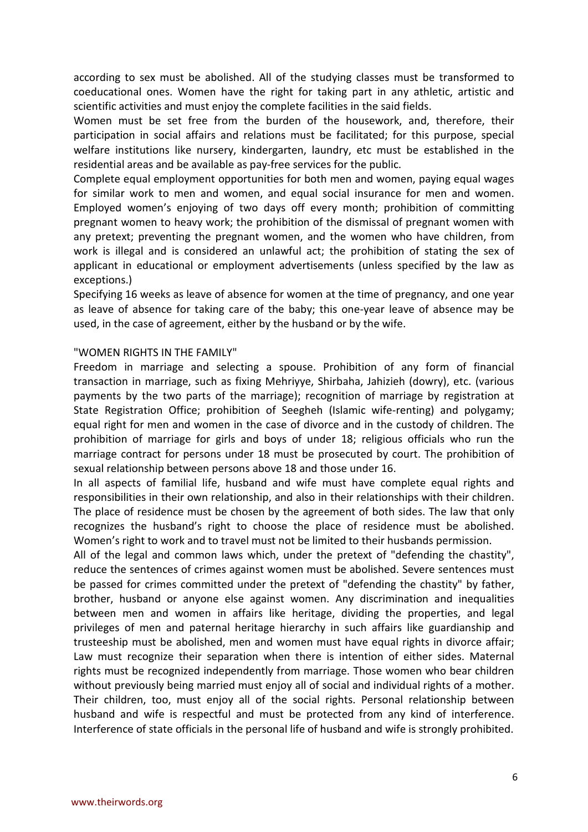according to sex must be abolished. All of the studying classes must be transformed to coeducational ones. Women have the right for taking part in any athletic, artistic and scientific activities and must enjoy the complete facilities in the said fields.

Women must be set free from the burden of the housework, and, therefore, their participation in social affairs and relations must be facilitated; for this purpose, special welfare institutions like nursery, kindergarten, laundry, etc must be established in the residential areas and be available as pay-free services for the public.

Complete equal employment opportunities for both men and women, paying equal wages for similar work to men and women, and equal social insurance for men and women. Employed women's enjoying of two days off every month; prohibition of committing pregnant women to heavy work; the prohibition of the dismissal of pregnant women with any pretext; preventing the pregnant women, and the women who have children, from work is illegal and is considered an unlawful act; the prohibition of stating the sex of applicant in educational or employment advertisements (unless specified by the law as exceptions.)

Specifying 16 weeks as leave of absence for women at the time of pregnancy, and one year as leave of absence for taking care of the baby; this one-year leave of absence may be used, in the case of agreement, either by the husband or by the wife.

#### "WOMEN RIGHTS IN THE FAMILY"

Freedom in marriage and selecting a spouse. Prohibition of any form of financial transaction in marriage, such as fixing Mehriyye, Shirbaha, Jahizieh (dowry), etc. (various payments by the two parts of the marriage); recognition of marriage by registration at State Registration Office; prohibition of Seegheh (Islamic wife-renting) and polygamy; equal right for men and women in the case of divorce and in the custody of children. The prohibition of marriage for girls and boys of under 18; religious officials who run the marriage contract for persons under 18 must be prosecuted by court. The prohibition of sexual relationship between persons above 18 and those under 16.

In all aspects of familial life, husband and wife must have complete equal rights and responsibilities in their own relationship, and also in their relationships with their children. The place of residence must be chosen by the agreement of both sides. The law that only recognizes the husband's right to choose the place of residence must be abolished. Women's right to work and to travel must not be limited to their husbands permission.

All of the legal and common laws which, under the pretext of "defending the chastity", reduce the sentences of crimes against women must be abolished. Severe sentences must be passed for crimes committed under the pretext of "defending the chastity" by father, brother, husband or anyone else against women. Any discrimination and inequalities between men and women in affairs like heritage, dividing the properties, and legal privileges of men and paternal heritage hierarchy in such affairs like guardianship and trusteeship must be abolished, men and women must have equal rights in divorce affair; Law must recognize their separation when there is intention of either sides. Maternal rights must be recognized independently from marriage. Those women who bear children without previously being married must enjoy all of social and individual rights of a mother. Their children, too, must enjoy all of the social rights. Personal relationship between husband and wife is respectful and must be protected from any kind of interference. Interference of state officials in the personal life of husband and wife is strongly prohibited.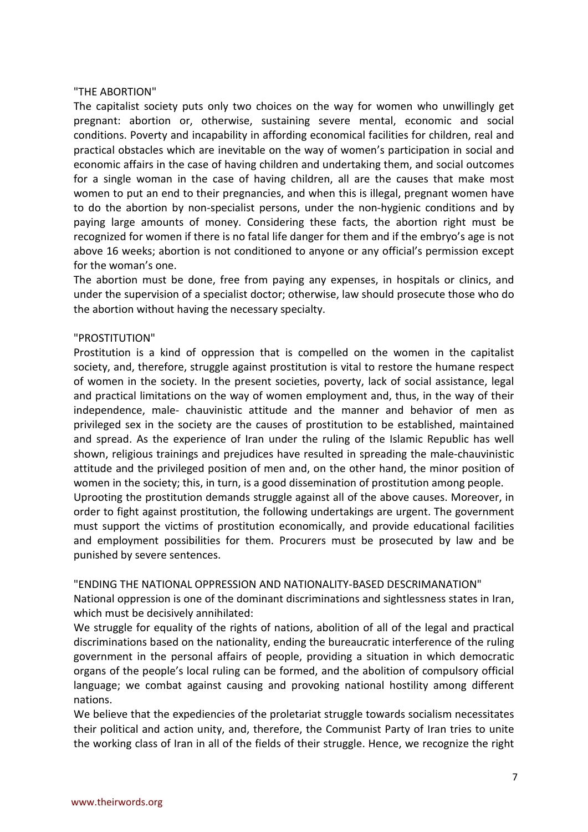#### "THE ABORTION"

The capitalist society puts only two choices on the way for women who unwillingly get pregnant: abortion or, otherwise, sustaining severe mental, economic and social conditions. Poverty and incapability in affording economical facilities for children, real and practical obstacles which are inevitable on the way of women's participation in social and economic affairs in the case of having children and undertaking them, and social outcomes for a single woman in the case of having children, all are the causes that make most women to put an end to their pregnancies, and when this is illegal, pregnant women have to do the abortion by non-specialist persons, under the non-hygienic conditions and by paying large amounts of money. Considering these facts, the abortion right must be recognized for women if there is no fatal life danger for them and if the embryo's age is not above 16 weeks; abortion is not conditioned to anyone or any official's permission except for the woman's one.

The abortion must be done, free from paying any expenses, in hospitals or clinics, and under the supervision of a specialist doctor; otherwise, law should prosecute those who do the abortion without having the necessary specialty.

### "PROSTITUTION"

Prostitution is a kind of oppression that is compelled on the women in the capitalist society, and, therefore, struggle against prostitution is vital to restore the humane respect of women in the society. In the present societies, poverty, lack of social assistance, legal and practical limitations on the way of women employment and, thus, in the way of their independence, male- chauvinistic attitude and the manner and behavior of men as privileged sex in the society are the causes of prostitution to be established, maintained and spread. As the experience of Iran under the ruling of the Islamic Republic has well shown, religious trainings and prejudices have resulted in spreading the male-chauvinistic attitude and the privileged position of men and, on the other hand, the minor position of women in the society; this, in turn, is a good dissemination of prostitution among people. Uprooting the prostitution demands struggle against all of the above causes. Moreover, in order to fight against prostitution, the following undertakings are urgent. The government must support the victims of prostitution economically, and provide educational facilities and employment possibilities for them. Procurers must be prosecuted by law and be punished by severe sentences.

"ENDING THE NATIONAL OPPRESSION AND NATIONALITY-BASED DESCRIMANATION"

National oppression is one of the dominant discriminations and sightlessness states in Iran, which must be decisively annihilated:

We struggle for equality of the rights of nations, abolition of all of the legal and practical discriminations based on the nationality, ending the bureaucratic interference of the ruling government in the personal affairs of people, providing a situation in which democratic organs of the people's local ruling can be formed, and the abolition of compulsory official language; we combat against causing and provoking national hostility among different nations.

We believe that the expediencies of the proletariat struggle towards socialism necessitates their political and action unity, and, therefore, the Communist Party of Iran tries to unite the working class of Iran in all of the fields of their struggle. Hence, we recognize the right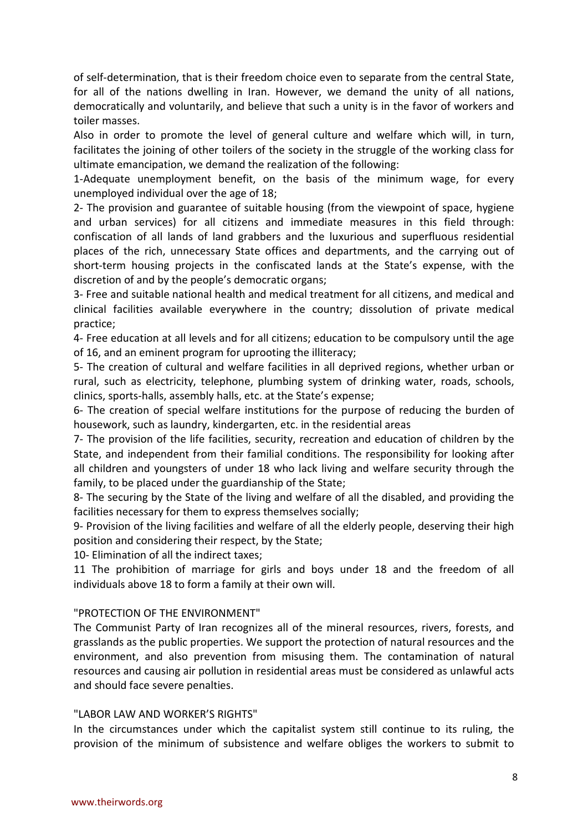of self-determination, that is their freedom choice even to separate from the central State, for all of the nations dwelling in Iran. However, we demand the unity of all nations, democratically and voluntarily, and believe that such a unity is in the favor of workers and toiler masses.

Also in order to promote the level of general culture and welfare which will, in turn, facilitates the joining of other toilers of the society in the struggle of the working class for ultimate emancipation, we demand the realization of the following:

1-Adequate unemployment benefit, on the basis of the minimum wage, for every unemployed individual over the age of 18;

2- The provision and guarantee of suitable housing (from the viewpoint of space, hygiene and urban services) for all citizens and immediate measures in this field through: confiscation of all lands of land grabbers and the luxurious and superfluous residential places of the rich, unnecessary State offices and departments, and the carrying out of short-term housing projects in the confiscated lands at the State's expense, with the discretion of and by the people's democratic organs;

3- Free and suitable national health and medical treatment for all citizens, and medical and clinical facilities available everywhere in the country; dissolution of private medical practice;

4- Free education at all levels and for all citizens; education to be compulsory until the age of 16, and an eminent program for uprooting the illiteracy;

5- The creation of cultural and welfare facilities in all deprived regions, whether urban or rural, such as electricity, telephone, plumbing system of drinking water, roads, schools, clinics, sports-halls, assembly halls, etc. at the State's expense;

6- The creation of special welfare institutions for the purpose of reducing the burden of housework, such as laundry, kindergarten, etc. in the residential areas

7- The provision of the life facilities, security, recreation and education of children by the State, and independent from their familial conditions. The responsibility for looking after all children and youngsters of under 18 who lack living and welfare security through the family, to be placed under the guardianship of the State;

8- The securing by the State of the living and welfare of all the disabled, and providing the facilities necessary for them to express themselves socially;

9- Provision of the living facilities and welfare of all the elderly people, deserving their high position and considering their respect, by the State;

10- Elimination of all the indirect taxes;

11 The prohibition of marriage for girls and boys under 18 and the freedom of all individuals above 18 to form a family at their own will.

### "PROTECTION OF THE ENVIRONMENT"

The Communist Party of Iran recognizes all of the mineral resources, rivers, forests, and grasslands as the public properties. We support the protection of natural resources and the environment, and also prevention from misusing them. The contamination of natural resources and causing air pollution in residential areas must be considered as unlawful acts and should face severe penalties.

## "LABOR LAW AND WORKER'S RIGHTS"

In the circumstances under which the capitalist system still continue to its ruling, the provision of the minimum of subsistence and welfare obliges the workers to submit to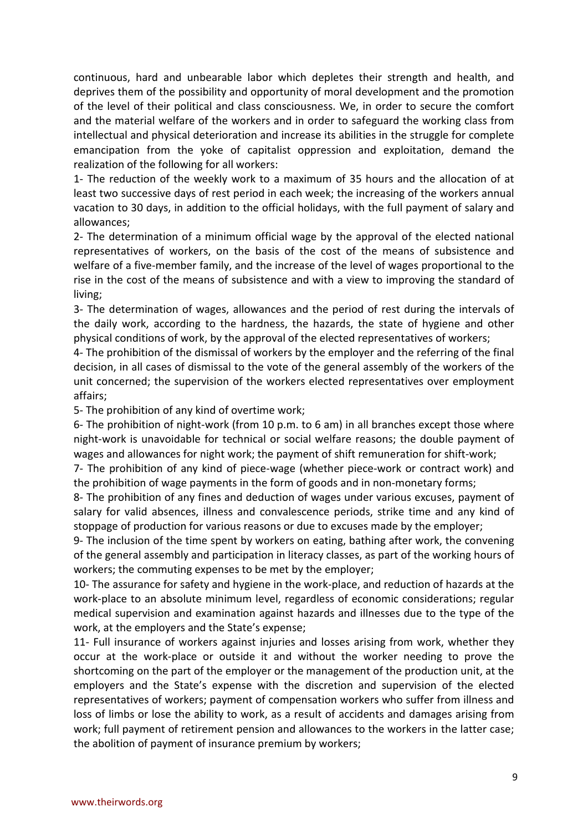continuous, hard and unbearable labor which depletes their strength and health, and deprives them of the possibility and opportunity of moral development and the promotion of the level of their political and class consciousness. We, in order to secure the comfort and the material welfare of the workers and in order to safeguard the working class from intellectual and physical deterioration and increase its abilities in the struggle for complete emancipation from the yoke of capitalist oppression and exploitation, demand the realization of the following for all workers:

1- The reduction of the weekly work to a maximum of 35 hours and the allocation of at least two successive days of rest period in each week; the increasing of the workers annual vacation to 30 days, in addition to the official holidays, with the full payment of salary and allowances;

2- The determination of a minimum official wage by the approval of the elected national representatives of workers, on the basis of the cost of the means of subsistence and welfare of a five-member family, and the increase of the level of wages proportional to the rise in the cost of the means of subsistence and with a view to improving the standard of living;

3- The determination of wages, allowances and the period of rest during the intervals of the daily work, according to the hardness, the hazards, the state of hygiene and other physical conditions of work, by the approval of the elected representatives of workers;

4- The prohibition of the dismissal of workers by the employer and the referring of the final decision, in all cases of dismissal to the vote of the general assembly of the workers of the unit concerned; the supervision of the workers elected representatives over employment affairs;

5- The prohibition of any kind of overtime work;

6- The prohibition of night-work (from 10 p.m. to 6 am) in all branches except those where night-work is unavoidable for technical or social welfare reasons; the double payment of wages and allowances for night work; the payment of shift remuneration for shift-work;

7- The prohibition of any kind of piece-wage (whether piece-work or contract work) and the prohibition of wage payments in the form of goods and in non-monetary forms;

8- The prohibition of any fines and deduction of wages under various excuses, payment of salary for valid absences, illness and convalescence periods, strike time and any kind of stoppage of production for various reasons or due to excuses made by the employer;

9- The inclusion of the time spent by workers on eating, bathing after work, the convening of the general assembly and participation in literacy classes, as part of the working hours of workers; the commuting expenses to be met by the employer;

10- The assurance for safety and hygiene in the work-place, and reduction of hazards at the work-place to an absolute minimum level, regardless of economic considerations; regular medical supervision and examination against hazards and illnesses due to the type of the work, at the employers and the State's expense;

11- Full insurance of workers against injuries and losses arising from work, whether they occur at the work-place or outside it and without the worker needing to prove the shortcoming on the part of the employer or the management of the production unit, at the employers and the State's expense with the discretion and supervision of the elected representatives of workers; payment of compensation workers who suffer from illness and loss of limbs or lose the ability to work, as a result of accidents and damages arising from work; full payment of retirement pension and allowances to the workers in the latter case; the abolition of payment of insurance premium by workers;